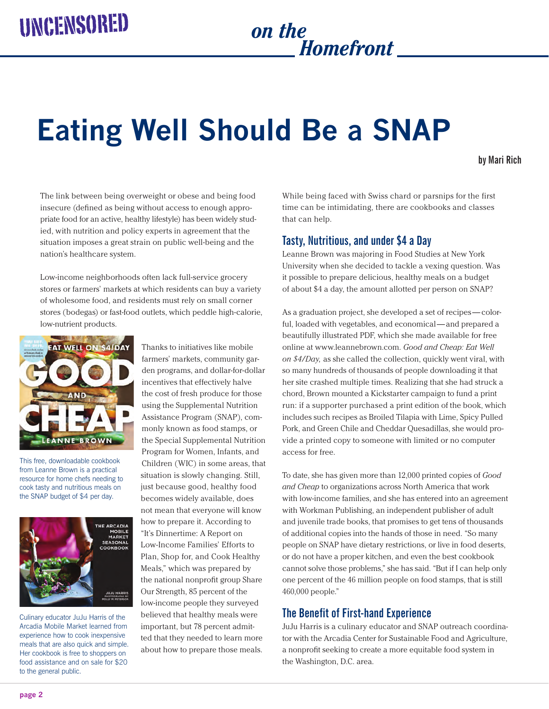# *Homefront*

# **Eating Well Should Be a SNAP**

#### **by Mari Rich**

The link between being overweight or obese and being food insecure (defined as being without access to enough appropriate food for an active, healthy lifestyle) has been widely studied, with nutrition and policy experts in agreement that the situation imposes a great strain on public well-being and the nation's healthcare system.

Low-income neighborhoods often lack full-service grocery stores or farmers' markets at which residents can buy a variety of wholesome food, and residents must rely on small corner stores (bodegas) or fast-food outlets, which peddle high-calorie, low-nutrient products.



This free, downloadable cookbook from Leanne Brown is a practical resource for home chefs needing to cook tasty and nutritious meals on the SNAP budget of \$4 per day.



Culinary educator JuJu Harris of the Arcadia Mobile Market learned from experience how to cook inexpensive meals that are also quick and simple. Her cookbook is free to shoppers on food assistance and on sale for \$20 to the general public.

Thanks to initiatives like mobile farmers' markets, community garden programs, and dollar-for-dollar incentives that effectively halve the cost of fresh produce for those using the Supplemental Nutrition Assistance Program (SNAP), commonly known as food stamps, or the Special Supplemental Nutrition Program for Women, Infants, and Children (WIC) in some areas, that situation is slowly changing. Still, just because good, healthy food becomes widely available, does not mean that everyone will know how to prepare it. According to "It's Dinnertime: A Report on Low-Income Families' Efforts to Plan, Shop for, and Cook Healthy Meals," which was prepared by the national nonprofit group Share Our Strength, 85 percent of the low-income people they surveyed believed that healthy meals were important, but 78 percent admitted that they needed to learn more about how to prepare those meals.

While being faced with Swiss chard or parsnips for the first time can be intimidating, there are cookbooks and classes that can help.

## **Tasty, Nutritious, and under \$4 a Day**

Leanne Brown was majoring in Food Studies at New York University when she decided to tackle a vexing question. Was it possible to prepare delicious, healthy meals on a budget of about \$4 a day, the amount allotted per person on SNAP?

As a graduation project, she developed a set of recipes — colorful, loaded with vegetables, and economical— and prepared a beautifully illustrated PDF, which she made available for free online at <www.leannebrown.com>. *Good and Cheap: Eat Well on \$4/Day,* as she called the collection, quickly went viral, with so many hundreds of thousands of people downloading it that her site crashed multiple times. Realizing that she had struck a chord, Brown mounted a Kickstarter campaign to fund a print run: if a supporter purchased a print edition of the book, which includes such recipes as Broiled Tilapia with Lime, Spicy Pulled Pork, and Green Chile and Cheddar Quesadillas, she would provide a printed copy to someone with limited or no computer access for free.

To date, she has given more than 12,000 printed copies of *Good and Cheap* to organizations across North America that work with low-income families, and she has entered into an agreement with Workman Publishing, an independent publisher of adult and juvenile trade books, that promises to get tens of thousands of additional copies into the hands of those in need. "So many people on SNAP have dietary restrictions, or live in food deserts, or do not have a proper kitchen, and even the best cookbook cannot solve those problems," she has said. "But if I can help only one percent of the 46 million people on food stamps, that is still 460,000 people."

## **The Benefit of First-hand Experience**

JuJu Harris is a culinary educator and SNAP outreach coordinator with the Arcadia Center for Sustainable Food and Agriculture, a nonprofit seeking to create a more equitable food system in the Washington, D.C. area.